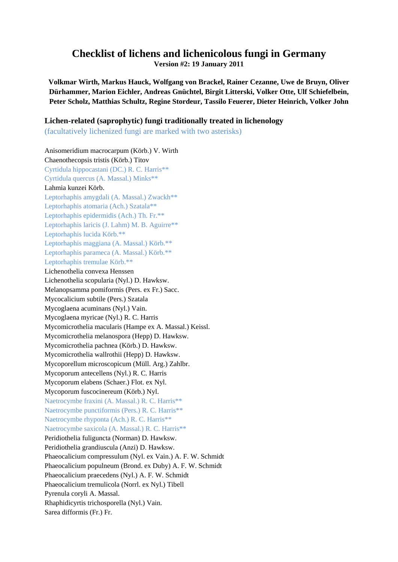## **Checklist of lichens and lichenicolous fungi in Germany**

**Version #2: 19 January 2011** 

**Volkmar Wirth, Markus Hauck, Wolfgang von Brackel, Rainer Cezanne, Uwe de Bruyn, Oliver Dürhammer, Marion Eichler, Andreas Gnüchtel, Birgit Litterski, Volker Otte, Ulf Schiefelbein, Peter Scholz, Matthias Schultz, Regine Stordeur, Tassilo Feuerer, Dieter Heinrich, Volker John** 

## **Lichen-related (saprophytic) fungi traditionally treated in lichenology**

(facultatively lichenized fungi are marked with two asterisks)

Anisomeridium macrocarpum (Körb.) V. Wirth Chaenothecopsis tristis (Körb.) Titov Cyrtidula hippocastani (DC.) R. C. Harris\*\* Cyrtidula quercus (A. Massal.) Minks\*\* Lahmia kunzei Körb. Leptorhaphis amygdali (A. Massal.) Zwackh\*\* Leptorhaphis atomaria (Ach.) Szatala\*\* Leptorhaphis epidermidis (Ach.) Th. Fr.\*\* Leptorhaphis laricis (J. Lahm) M. B. Aguirre\*\* Leptorhaphis lucida Körb.\*\* Leptorhaphis maggiana (A. Massal.) Körb.\*\* Leptorhaphis parameca (A. Massal.) Körb.\*\* Leptorhaphis tremulae Körb.\*\* Lichenothelia convexa Henssen Lichenothelia scopularia (Nyl.) D. Hawksw. Melanopsamma pomiformis (Pers. ex Fr.) Sacc. Mycocalicium subtile (Pers.) Szatala Mycoglaena acuminans (Nyl.) Vain. Mycoglaena myricae (Nyl.) R. C. Harris Mycomicrothelia macularis (Hampe ex A. Massal.) Keissl. Mycomicrothelia melanospora (Hepp) D. Hawksw. Mycomicrothelia pachnea (Körb.) D. Hawksw. Mycomicrothelia wallrothii (Hepp) D. Hawksw. Mycoporellum microscopicum (Müll. Arg.) Zahlbr. Mycoporum antecellens (Nyl.) R. C. Harris Mycoporum elabens (Schaer.) Flot. ex Nyl. Mycoporum fuscocinereum (Körb.) Nyl. Naetrocymbe fraxini (A. Massal.) R. C. Harris\*\* Naetrocymbe punctiformis (Pers.) R. C. Harris\*\* Naetrocymbe rhyponta (Ach.) R. C. Harris\*\* Naetrocymbe saxicola (A. Massal.) R. C. Harris\*\* Peridiothelia fuliguncta (Norman) D. Hawksw. Peridiothelia grandiuscula (Anzi) D. Hawksw. Phaeocalicium compressulum (Nyl. ex Vain.) A. F. W. Schmidt Phaeocalicium populneum (Brond. ex Duby) A. F. W. Schmidt Phaeocalicium praecedens (Nyl.) A. F. W. Schmidt Phaeocalicium tremulicola (Norrl. ex Nyl.) Tibell Pyrenula coryli A. Massal. Rhaphidicyrtis trichosporella (Nyl.) Vain. Sarea difformis (Fr.) Fr.